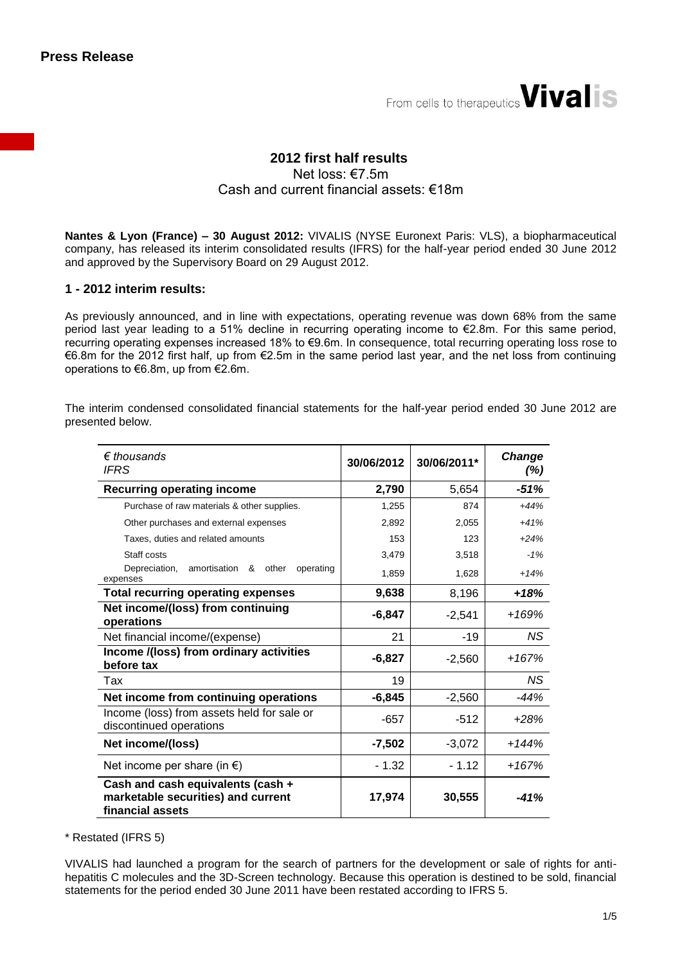

# **2012 first half results** Net loss: €7.5m Cash and current financial assets: €18m

**Nantes & Lyon (France) – 30 August 2012:** VIVALIS (NYSE Euronext Paris: VLS), a biopharmaceutical company, has released its interim consolidated results (IFRS) for the half-year period ended 30 June 2012 and approved by the Supervisory Board on 29 August 2012.

#### **1 - 2012 interim results:**

As previously announced, and in line with expectations, operating revenue was down 68% from the same period last year leading to a 51% decline in recurring operating income to €2.8m. For this same period, recurring operating expenses increased 18% to €9.6m. In consequence, total recurring operating loss rose to €6.8m for the 2012 first half, up from €2.5m in the same period last year, and the net loss from continuing operations to €6.8m, up from €2.6m.

The interim condensed consolidated financial statements for the half-year period ended 30 June 2012 are presented below.

| $\epsilon$ thousands<br><b>IFRS</b>                                                         | 30/06/2012 | 30/06/2011* | <b>Change</b><br>(%) |
|---------------------------------------------------------------------------------------------|------------|-------------|----------------------|
| <b>Recurring operating income</b>                                                           | 2,790      | 5,654       | $-51%$               |
| Purchase of raw materials & other supplies.                                                 | 1,255      | 874         | $+44%$               |
| Other purchases and external expenses                                                       | 2,892      | 2,055       | $+41%$               |
| Taxes, duties and related amounts                                                           | 153        | 123         | $+24%$               |
| Staff costs                                                                                 | 3,479      | 3,518       | $-1%$                |
| amortisation<br>& other<br>Depreciation,<br>operating<br>expenses                           | 1,859      | 1,628       | $+14%$               |
| <b>Total recurring operating expenses</b>                                                   | 9,638      | 8,196       | $+18%$               |
| Net income/(loss) from continuing<br>operations                                             | $-6,847$   | $-2,541$    | $+169%$              |
| Net financial income/(expense)                                                              | 21         | $-19$       | NS.                  |
| Income /(loss) from ordinary activities<br>before tax                                       | $-6,827$   | $-2,560$    | $+167%$              |
| Tax                                                                                         | 19         |             | NS.                  |
| Net income from continuing operations                                                       | $-6,845$   | $-2,560$    | -44%                 |
| Income (loss) from assets held for sale or<br>discontinued operations                       | $-657$     | $-512$      | $+28%$               |
| Net income/(loss)                                                                           | $-7,502$   | $-3,072$    | $+144%$              |
| Net income per share (in $\epsilon$ )                                                       | $-1.32$    | $-1.12$     | $+167%$              |
| Cash and cash equivalents (cash +<br>marketable securities) and current<br>financial assets | 17,974     | 30,555      | $-41%$               |

\* Restated (IFRS 5)

VIVALIS had launched a program for the search of partners for the development or sale of rights for antihepatitis C molecules and the 3D-Screen technology. Because this operation is destined to be sold, financial statements for the period ended 30 June 2011 have been restated according to IFRS 5.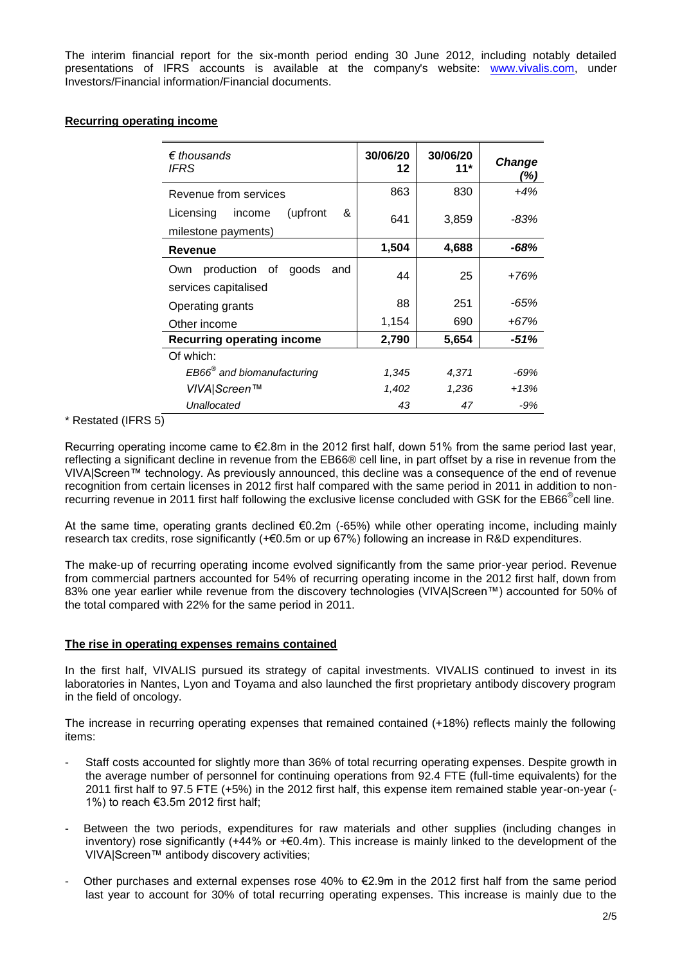The interim financial report for the six-month period ending 30 June 2012, including notably detailed presentations of IFRS accounts is available at the company's website: [www.vivalis.com,](http://www.vivalis.com/) under Investors/Financial information/Financial documents.

### **Recurring operating income**

| $\epsilon$ thousands<br>IFRS                                 | 30/06/20<br>12 | 30/06/20<br>$11*$ | Change<br>(%) |
|--------------------------------------------------------------|----------------|-------------------|---------------|
| Revenue from services                                        | 863            | 830               | $+4%$         |
| (upfront<br>&<br>Licensing<br>income<br>milestone payments)  | 641            | 3,859             | -83%          |
| Revenue                                                      | 1,504          | 4,688             | -68%          |
| production of<br>goods<br>and<br>Own<br>services capitalised | 44             | 25                | $+76%$        |
| Operating grants                                             | 88             | 251               | -65%          |
| Other income                                                 | 1,154          | 690               | +67%          |
| <b>Recurring operating income</b>                            | 2,790          | 5,654             | -51%          |
| Of which:                                                    |                |                   |               |
| EB66 <sup>®</sup> and biomanufacturing                       | 1,345          | 4,371             | -69%          |
| VIVA Screen™                                                 | 1,402          | 1,236             | +13%          |
| Unallocated                                                  | 43             | 47                | -9%           |

# \* Restated (IFRS 5)

Recurring operating income came to €2.8m in the 2012 first half, down 51% from the same period last year, reflecting a significant decline in revenue from the EB66® cell line, in part offset by a rise in revenue from the VIVA|Screen™ technology. As previously announced, this decline was a consequence of the end of revenue recognition from certain licenses in 2012 first half compared with the same period in 2011 in addition to nonrecurring revenue in 2011 first half following the exclusive license concluded with GSK for the EB66<sup>®</sup>cell line.

At the same time, operating grants declined €0.2m (-65%) while other operating income, including mainly research tax credits, rose significantly (+€0.5m or up 67%) following an increase in R&D expenditures.

The make-up of recurring operating income evolved significantly from the same prior-year period. Revenue from commercial partners accounted for 54% of recurring operating income in the 2012 first half, down from 83% one year earlier while revenue from the discovery technologies (VIVA|Screen™) accounted for 50% of the total compared with 22% for the same period in 2011.

#### **The rise in operating expenses remains contained**

In the first half, VIVALIS pursued its strategy of capital investments. VIVALIS continued to invest in its laboratories in Nantes, Lyon and Toyama and also launched the first proprietary antibody discovery program in the field of oncology.

The increase in recurring operating expenses that remained contained (+18%) reflects mainly the following items:

- Staff costs accounted for slightly more than 36% of total recurring operating expenses. Despite growth in the average number of personnel for continuing operations from 92.4 FTE (full-time equivalents) for the 2011 first half to 97.5 FTE (+5%) in the 2012 first half, this expense item remained stable year-on-year (- 1%) to reach €3.5m 2012 first half;
- Between the two periods, expenditures for raw materials and other supplies (including changes in inventory) rose significantly (+44% or +€0.4m). This increase is mainly linked to the development of the VIVA|Screen™ antibody discovery activities;
- Other purchases and external expenses rose 40% to €2.9m in the 2012 first half from the same period last year to account for 30% of total recurring operating expenses. This increase is mainly due to the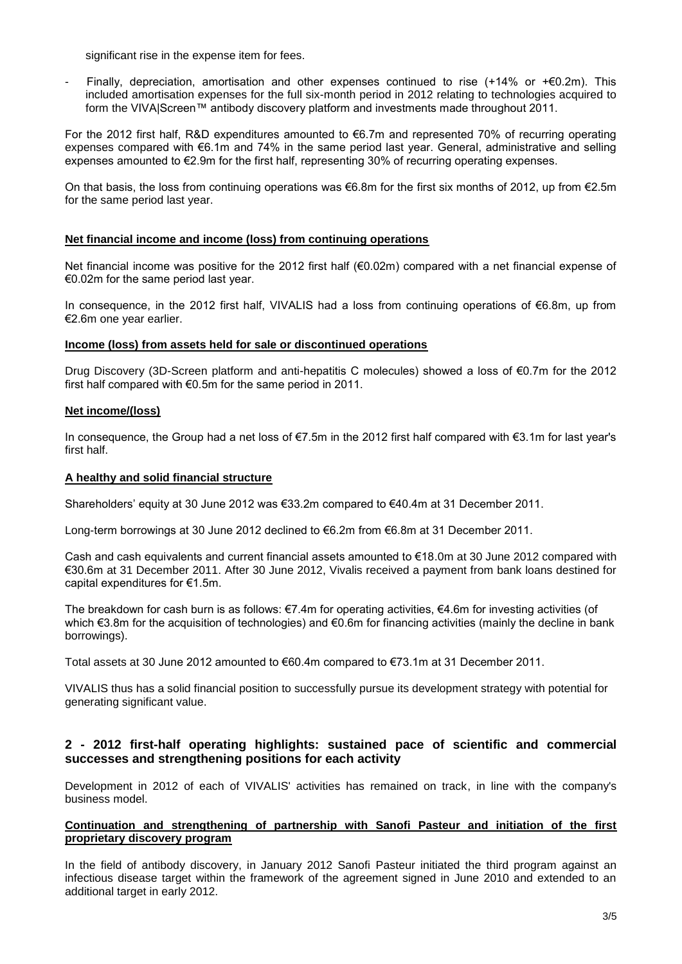significant rise in the expense item for fees.

Finally, depreciation, amortisation and other expenses continued to rise (+14% or + $\epsilon$ 0.2m). This included amortisation expenses for the full six-month period in 2012 relating to technologies acquired to form the VIVA|Screen™ antibody discovery platform and investments made throughout 2011.

For the 2012 first half, R&D expenditures amounted to €6.7m and represented 70% of recurring operating expenses compared with €6.1m and 74% in the same period last year. General, administrative and selling expenses amounted to €2.9m for the first half, representing 30% of recurring operating expenses.

On that basis, the loss from continuing operations was €6.8m for the first six months of 2012, up from €2.5m for the same period last year.

#### **Net financial income and income (loss) from continuing operations**

Net financial income was positive for the 2012 first half (€0.02m) compared with a net financial expense of €0.02m for the same period last year.

In consequence, in the 2012 first half, VIVALIS had a loss from continuing operations of €6.8m, up from €2.6m one year earlier.

#### **Income (loss) from assets held for sale or discontinued operations**

Drug Discovery (3D-Screen platform and anti-hepatitis C molecules) showed a loss of €0.7m for the 2012 first half compared with €0.5m for the same period in 2011.

#### **Net income/(loss)**

In consequence, the Group had a net loss of €7.5m in the 2012 first half compared with €3.1m for last year's first half.

### **A healthy and solid financial structure**

Shareholders' equity at 30 June 2012 was €33.2m compared to €40.4m at 31 December 2011.

Long-term borrowings at 30 June 2012 declined to €6.2m from €6.8m at 31 December 2011.

Cash and cash equivalents and current financial assets amounted to €18.0m at 30 June 2012 compared with €30.6m at 31 December 2011. After 30 June 2012, Vivalis received a payment from bank loans destined for capital expenditures for €1.5m.

The breakdown for cash burn is as follows: €7.4m for operating activities, €4.6m for investing activities (of which €3.8m for the acquisition of technologies) and €0.6m for financing activities (mainly the decline in bank borrowings).

Total assets at 30 June 2012 amounted to €60.4m compared to €73.1m at 31 December 2011.

VIVALIS thus has a solid financial position to successfully pursue its development strategy with potential for generating significant value.

# **2 - 2012 first-half operating highlights: sustained pace of scientific and commercial successes and strengthening positions for each activity**

Development in 2012 of each of VIVALIS' activities has remained on track, in line with the company's business model.

#### **Continuation and strengthening of partnership with Sanofi Pasteur and initiation of the first proprietary discovery program**

In the field of antibody discovery, in January 2012 Sanofi Pasteur initiated the third program against an infectious disease target within the framework of the agreement signed in June 2010 and extended to an additional target in early 2012.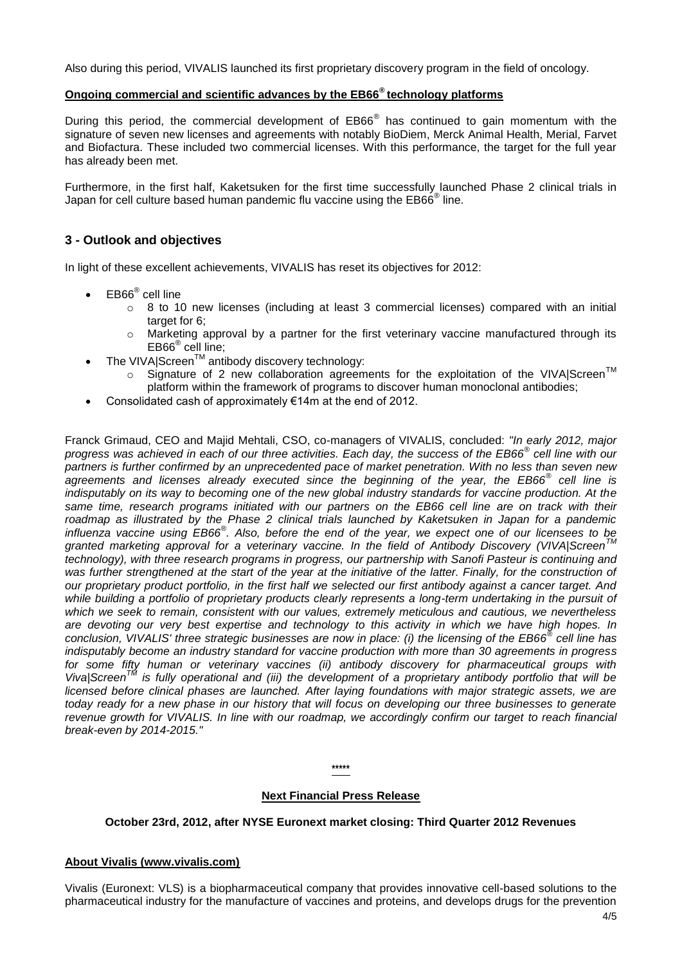Also during this period, VIVALIS launched its first proprietary discovery program in the field of oncology.

# **Ongoing commercial and scientific advances by the EB66® technology platforms**

During this period, the commercial development of EB66<sup>®</sup> has continued to gain momentum with the signature of seven new licenses and agreements with notably BioDiem, Merck Animal Health, Merial, Farvet and Biofactura. These included two commercial licenses. With this performance, the target for the full year has already been met.

Furthermore, in the first half, Kaketsuken for the first time successfully launched Phase 2 clinical trials in Japan for cell culture based human pandemic flu vaccine using the EB66<sup>®</sup> line.

# **3 - Outlook and objectives**

In light of these excellent achievements, VIVALIS has reset its objectives for 2012:

- EB66<sup>®</sup> cell line
	- o 8 to 10 new licenses (including at least 3 commercial licenses) compared with an initial target for 6;
	- o Marketing approval by a partner for the first veterinary vaccine manufactured through its EB66® cell line;
- The VIVA|Screen™ antibody discovery technology:
	- $\circ$  Signature of 2 new collaboration agreements for the exploitation of the VIVA|Screen<sup>TM</sup> platform within the framework of programs to discover human monoclonal antibodies;
- Consolidated cash of approximately €14m at the end of 2012.

Franck Grimaud, CEO and Majid Mehtali, CSO, co-managers of VIVALIS, concluded: *"In early 2012, major progress was achieved in each of our three activities. Each day, the success of the EB66® cell line with our partners is further confirmed by an unprecedented pace of market penetration. With no less than seven new agreements and licenses already executed since the beginning of the year, the EB66® cell line is indisputably on its way to becoming one of the new global industry standards for vaccine production. At the*  same time, research programs initiated with our partners on the EB66 cell line are on track with their *roadmap as illustrated by the Phase 2 clinical trials launched by Kaketsuken in Japan for a pandemic influenza vaccine using EB66® . Also, before the end of the year, we expect one of our licensees to be granted marketing approval for a veterinary vaccine. In the field of Antibody Discovery (VIVA|ScreenTM technology), with three research programs in progress, our partnership with Sanofi Pasteur is continuing and*  was further strengthened at the start of the year at the initiative of the latter. Finally, for the construction of *our proprietary product portfolio, in the first half we selected our first antibody against a cancer target. And while building a portfolio of proprietary products clearly represents a long-term undertaking in the pursuit of which we seek to remain, consistent with our values, extremely meticulous and cautious, we nevertheless are devoting our very best expertise and technology to this activity in which we have high hopes. In conclusion, VIVALIS' three strategic businesses are now in place: (i) the licensing of the EB66® cell line has indisputably become an industry standard for vaccine production with more than 30 agreements in progress for some fifty human or veterinary vaccines (ii) antibody discovery for pharmaceutical groups with Viva|ScreenTM is fully operational and (iii) the development of a proprietary antibody portfolio that will be licensed before clinical phases are launched. After laying foundations with major strategic assets, we are today ready for a new phase in our history that will focus on developing our three businesses to generate revenue growth for VIVALIS. In line with our roadmap, we accordingly confirm our target to reach financial break-even by 2014-2015."*

**\*\*\*\*\***

## **Next Financial Press Release**

## **October 23rd, 2012, after NYSE Euronext market closing: Third Quarter 2012 Revenues**

## **About Vivalis (www.vivalis.com)**

Vivalis (Euronext: VLS) is a biopharmaceutical company that provides innovative cell-based solutions to the pharmaceutical industry for the manufacture of vaccines and proteins, and develops drugs for the prevention